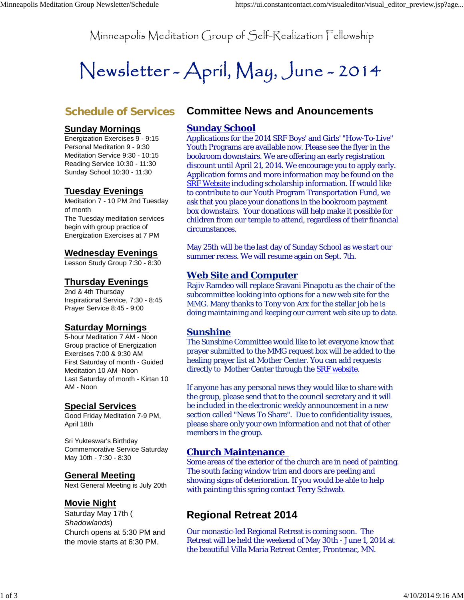Minneapolis Meditation Group of Self-Realization Fellowship

# Newsletter-April, May, June-2014

## **Schedule of Services**

#### **Sunday Mornings**

Energization Exercises 9 - 9:15 Personal Meditation 9 - 9:30 Meditation Service 9:30 - 10:15 Reading Service 10:30 - 11:30 Sunday School 10:30 - 11:30

## **Tuesday Evenings**

Meditation 7 - 10 PM 2nd Tuesday of month The Tuesday meditation services begin with group practice of Energization Exercises at 7 PM

#### **Wednesday Evenings**

Lesson Study Group 7:30 - 8:30

#### **Thursday Evenings**

2nd & 4th Thursday Inspirational Service, 7:30 - 8:45 Prayer Service 8:45 - 9:00

#### **Saturday Mornings**

5-hour Meditation 7 AM - Noon Group practice of Energization Exercises 7:00 & 9:30 AM First Saturday of month - Guided Meditation 10 AM -Noon Last Saturday of month - Kirtan 10 AM - Noon

#### **Special Services**

Good Friday Meditation 7-9 PM, April 18th

Sri Yukteswar's Birthday Commemorative Service Saturday May 10th - 7:30 - 8:30

#### **General Meeting**

Next General Meeting is July 20th

#### **Movie Night**

Saturday May 17th ( *Shadowlands*) Church opens at 5:30 PM and the movie starts at 6:30 PM.

## **Committee News and Anouncements**

#### **Sunday School**

Applications for the 2014 SRF Boys' and Girls' "How-To-Live" Youth Programs are available now. Please see the flyer in the bookroom downstairs. We are offering an early registration discount until April 21, 2014. We encourage you to apply early. Application forms and more information may be found on the SRF Website including scholarship information. If would like to contribute to our Youth Program Transportation Fund, we ask that you place your donations in the bookroom payment box downstairs. Your donations will help make it possible for children from our temple to attend, regardless of their financial circumstances.

May 25th will be the last day of Sunday School as we start our summer recess. We will resume again on Sept. 7th.

#### **Web Site and Computer**

Rajiv Ramdeo will replace Sravani Pinapotu as the chair of the subcommittee looking into options for a new web site for the MMG. Many thanks to Tony von Arx for the stellar job he is doing maintaining and keeping our current web site up to date.

#### **Sunshine**

The Sunshine Committee would like to let everyone know that prayer submitted to the MMG request box will be added to the healing prayer list at Mother Center. You can add requests directly to Mother Center through the **SRF** website.

If anyone has any personal news they would like to share with the group, please send that to the council secretary and it will be included in the electronic weekly announcement in a new section called "News To Share". Due to confidentiality issues, please share only your own information and not that of other members in the group.

#### **Church Maintenance**

Some areas of the exterior of the church are in need of painting. The south facing window trim and doors are peeling and showing signs of deterioration. If you would be able to help with painting this spring contact Terry Schwab.

# **Regional Retreat 2014**

Our monastic-led Regional Retreat is coming soon. The Retreat will be held the weekend of May 30th - June 1, 2014 at the beautiful Villa Maria Retreat Center, Frontenac, MN.